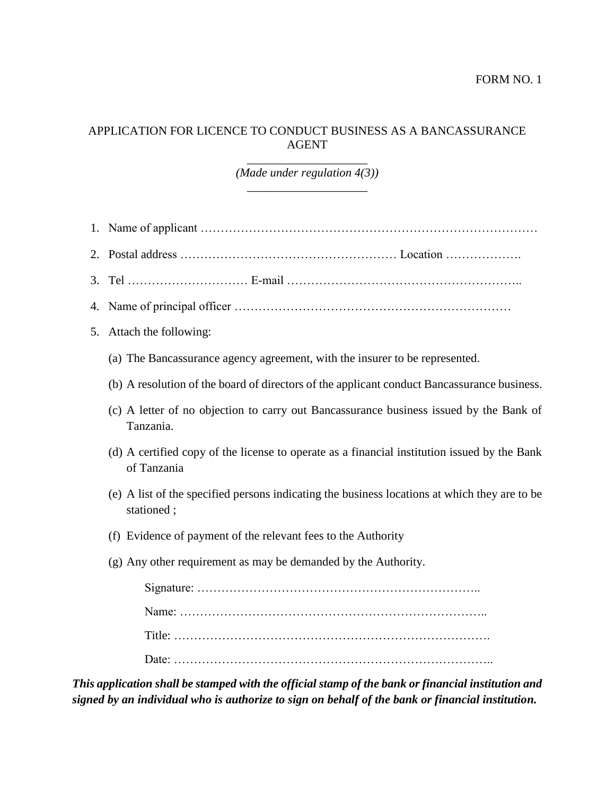## APPLICATION FOR LICENCE TO CONDUCT BUSINESS AS A BANCASSURANCE AGENT

*\_\_\_\_\_\_\_\_\_\_\_\_\_\_\_\_\_\_\_\_ (Made under regulation 4(3)) \_\_\_\_\_\_\_\_\_\_\_\_\_\_\_\_\_\_\_\_*

- 1. Name of applicant …………………………………………………………………………
- 2. Postal address ……………………………………………… Location ……………….
- 3. Tel ………………………… E-mail …………………………………………………..
- 4. Name of principal officer ……………………………………………………………
- 5. Attach the following:
	- (a) The Bancassurance agency agreement, with the insurer to be represented.
	- (b) A resolution of the board of directors of the applicant conduct Bancassurance business.
	- (c) A letter of no objection to carry out Bancassurance business issued by the Bank of Tanzania.
	- (d) A certified copy of the license to operate as a financial institution issued by the Bank of Tanzania
	- (e) A list of the specified persons indicating the business locations at which they are to be stationed ;
	- (f) Evidence of payment of the relevant fees to the Authority
	- (g) Any other requirement as may be demanded by the Authority.

*This application shall be stamped with the official stamp of the bank or financial institution and signed by an individual who is authorize to sign on behalf of the bank or financial institution.*